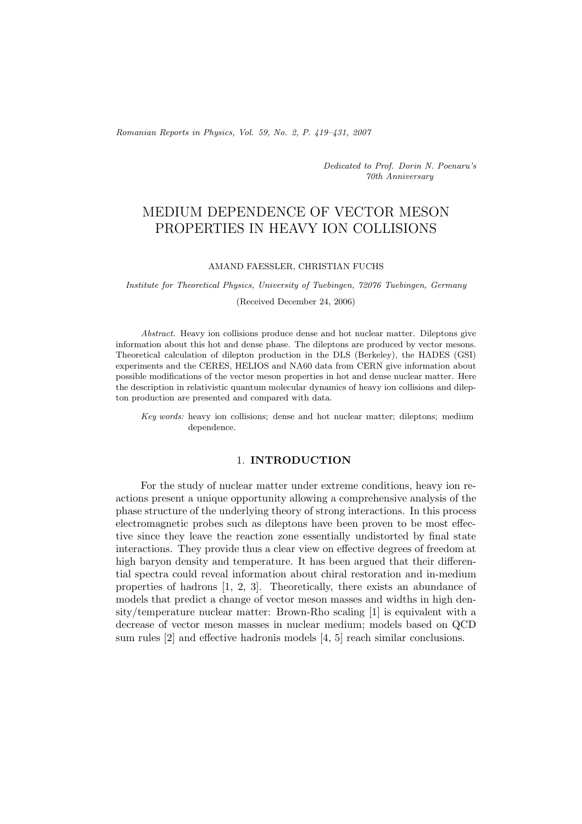*Romanian Reports in Physics, Vol. 59, No. 2, P. 419–431, 2007*

*Dedicated to Prof. Dorin N. Poenaru's 70th Anniversary*

# MEDIUM DEPENDENCE OF VECTOR MESON PROPERTIES IN HEAVY ION COLLISIONS

### AMAND FAESSLER, CHRISTIAN FUCHS

*Institute for Theoretical Physics, University of Tuebingen, 72076 Tuebingen, Germany*

(Received December 24, 2006)

*Abstract.* Heavy ion collisions produce dense and hot nuclear matter. Dileptons give information about this hot and dense phase. The dileptons are produced by vector mesons. Theoretical calculation of dilepton production in the DLS (Berkeley), the HADES (GSI) experiments and the CERES, HELIOS and NA60 data from CERN give information about possible modifications of the vector meson properties in hot and dense nuclear matter. Here the description in relativistic quantum molecular dynamics of heavy ion collisions and dilepton production are presented and compared with data.

*Key words:* heavy ion collisions; dense and hot nuclear matter; dileptons; medium dependence.

## 1. **INTRODUCTION**

For the study of nuclear matter under extreme conditions, heavy ion reactions present a unique opportunity allowing a comprehensive analysis of the phase structure of the underlying theory of strong interactions. In this process electromagnetic probes such as dileptons have been proven to be most effective since they leave the reaction zone essentially undistorted by final state interactions. They provide thus a clear view on effective degrees of freedom at high baryon density and temperature. It has been argued that their differential spectra could reveal information about chiral restoration and in-medium properties of hadrons [1, 2, 3]. Theoretically, there exists an abundance of models that predict a change of vector meson masses and widths in high density/temperature nuclear matter: Brown-Rho scaling [1] is equivalent with a decrease of vector meson masses in nuclear medium; models based on QCD sum rules [2] and effective hadronis models [4, 5] reach similar conclusions.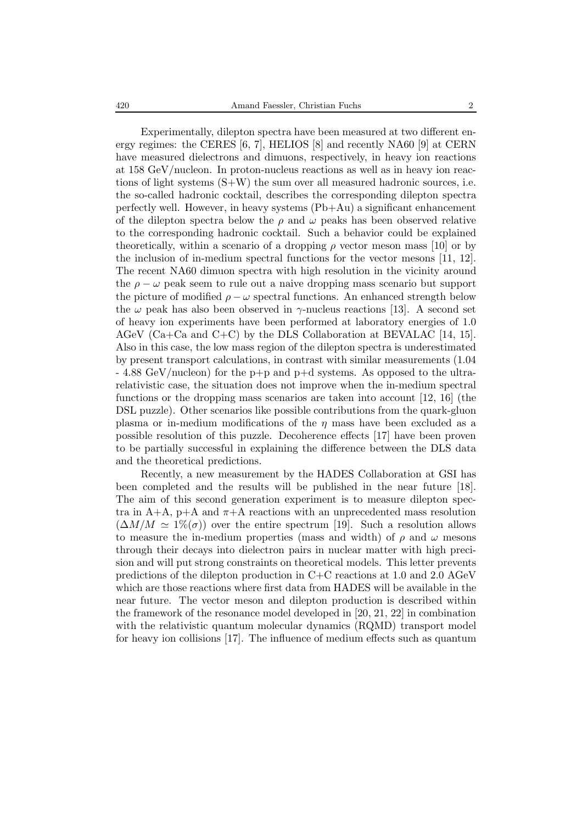Experimentally, dilepton spectra have been measured at two different energy regimes: the CERES [6, 7], HELIOS [8] and recently NA60 [9] at CERN have measured dielectrons and dimuons, respectively, in heavy ion reactions at 158 GeV/nucleon. In proton-nucleus reactions as well as in heavy ion reactions of light systems (S+W) the sum over all measured hadronic sources, i.e. the so-called hadronic cocktail, describes the corresponding dilepton spectra perfectly well. However, in heavy systems (Pb+Au) a significant enhancement of the dilepton spectra below the  $\rho$  and  $\omega$  peaks has been observed relative to the corresponding hadronic cocktail. Such a behavior could be explained theoretically, within a scenario of a dropping  $\rho$  vector meson mass [10] or by the inclusion of in-medium spectral functions for the vector mesons [11, 12]. The recent NA60 dimuon spectra with high resolution in the vicinity around the  $\rho - \omega$  peak seem to rule out a naive dropping mass scenario but support the picture of modified  $\rho - \omega$  spectral functions. An enhanced strength below the  $\omega$  peak has also been observed in  $\gamma$ -nucleus reactions [13]. A second set of heavy ion experiments have been performed at laboratory energies of 1.0 AGeV (Ca+Ca and C+C) by the DLS Collaboration at BEVALAC [14, 15]. Also in this case, the low mass region of the dilepton spectra is underestimated by present transport calculations, in contrast with similar measurements (1.04 - 4.88 GeV/nucleon) for the p+p and p+d systems. As opposed to the ultrarelativistic case, the situation does not improve when the in-medium spectral functions or the dropping mass scenarios are taken into account [12, 16] (the DSL puzzle). Other scenarios like possible contributions from the quark-gluon plasma or in-medium modifications of the  $\eta$  mass have been excluded as a possible resolution of this puzzle. Decoherence effects [17] have been proven to be partially successful in explaining the difference between the DLS data and the theoretical predictions.

Recently, a new measurement by the HADES Collaboration at GSI has been completed and the results will be published in the near future [18]. The aim of this second generation experiment is to measure dilepton spectra in  $A+A$ ,  $p+A$  and  $\pi+A$  reactions with an unprecedented mass resolution  $(\Delta M/M \simeq 1\%(\sigma))$  over the entire spectrum [19]. Such a resolution allows to measure the in-medium properties (mass and width) of  $\rho$  and  $\omega$  mesons through their decays into dielectron pairs in nuclear matter with high precision and will put strong constraints on theoretical models. This letter prevents predictions of the dilepton production in C+C reactions at 1.0 and 2.0 AGeV which are those reactions where first data from HADES will be available in the near future. The vector meson and dilepton production is described within the framework of the resonance model developed in [20, 21, 22] in combination with the relativistic quantum molecular dynamics (RQMD) transport model for heavy ion collisions [17]. The influence of medium effects such as quantum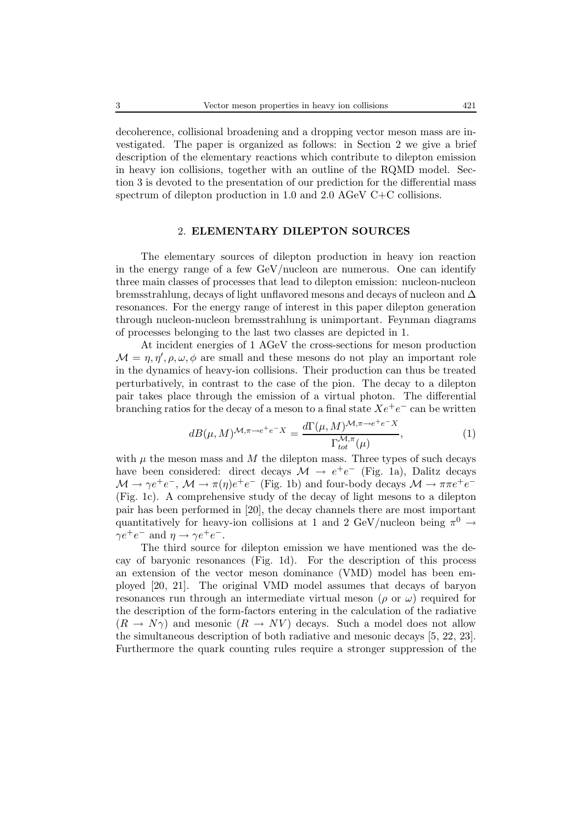decoherence, collisional broadening and a dropping vector meson mass are investigated. The paper is organized as follows: in Section 2 we give a brief description of the elementary reactions which contribute to dilepton emission in heavy ion collisions, together with an outline of the RQMD model. Section 3 is devoted to the presentation of our prediction for the differential mass spectrum of dilepton production in 1.0 and 2.0 AGeV C+C collisions.

## 2. **ELEMENTARY DILEPTON SOURCES**

The elementary sources of dilepton production in heavy ion reaction in the energy range of a few GeV/nucleon are numerous. One can identify three main classes of processes that lead to dilepton emission: nucleon-nucleon bremsstrahlung, decays of light unflavored mesons and decays of nucleon and  $\Delta$ resonances. For the energy range of interest in this paper dilepton generation through nucleon-nucleon bremsstrahlung is unimportant. Feynman diagrams of processes belonging to the last two classes are depicted in 1.

At incident energies of 1 AGeV the cross-sections for meson production  $\mathcal{M} = \eta, \eta', \rho, \omega, \phi$  are small and these mesons do not play an important role in the dynamics of heavy-ion collisions. Their production can thus be treated perturbatively, in contrast to the case of the pion. The decay to a dilepton pair takes place through the emission of a virtual photon. The differential branching ratios for the decay of a meson to a final state  $Xe^+e^-$  can be written

$$
dB(\mu, M)^{\mathcal{M}, \pi \to e^+e^-X} = \frac{d\Gamma(\mu, M)^{\mathcal{M}, \pi \to e^+e^-X}}{\Gamma_{tot}^{\mathcal{M}, \pi}(\mu)},\tag{1}
$$

with  $\mu$  the meson mass and M the dilepton mass. Three types of such decays have been considered: direct decays  $\mathcal{M} \to e^+e^-$  (Fig. 1a), Dalitz decays  $\mathcal{M} \to \gamma e^+e^-$ ,  $\mathcal{M} \to \pi(\eta)e^+e^-$  (Fig. 1b) and four-body decays  $\mathcal{M} \to \pi\pi e^+e^-$ (Fig. 1c). A comprehensive study of the decay of light mesons to a dilepton pair has been performed in [20], the decay channels there are most important quantitatively for heavy-ion collisions at 1 and 2 GeV/nucleon being  $\pi^0 \rightarrow$  $\gamma e^+e^-$  and  $\eta \to \gamma e^+e^-$ .

The third source for dilepton emission we have mentioned was the decay of baryonic resonances (Fig. 1d). For the description of this process an extension of the vector meson dominance (VMD) model has been employed [20, 21]. The original VMD model assumes that decays of baryon resonances run through an intermediate virtual meson ( $\rho$  or  $\omega$ ) required for the description of the form-factors entering in the calculation of the radiative  $(R \to N\gamma)$  and mesonic  $(R \to NV)$  decays. Such a model does not allow the simultaneous description of both radiative and mesonic decays [5, 22, 23]. Furthermore the quark counting rules require a stronger suppression of the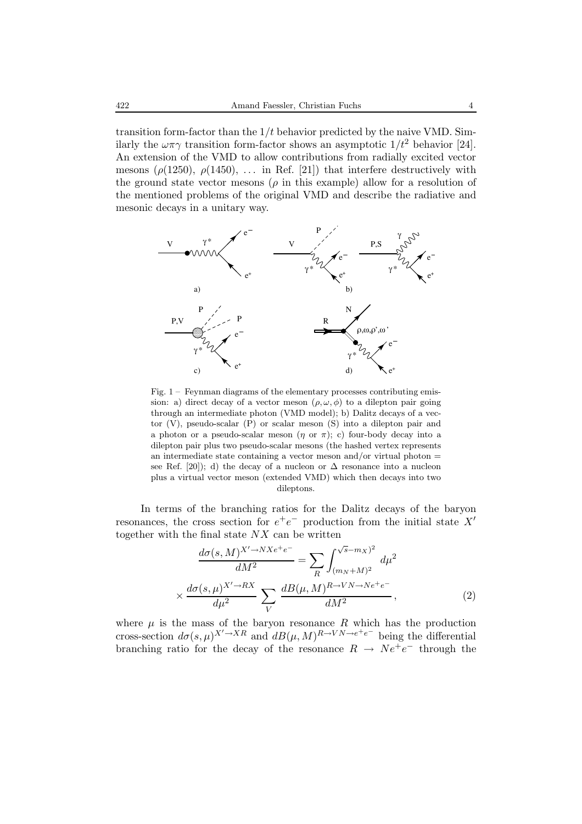transition form-factor than the  $1/t$  behavior predicted by the naive VMD. Similarly the  $\omega \pi \gamma$  transition form-factor shows an asymptotic  $1/t^2$  behavior [24]. An extension of the VMD to allow contributions from radially excited vector mesons ( $\rho(1250)$ ,  $\rho(1450)$ , ... in Ref. [21]) that interfere destructively with the ground state vector mesons ( $\rho$  in this example) allow for a resolution of the mentioned problems of the original VMD and describe the radiative and mesonic decays in a unitary way.



Fig. 1 – Feynman diagrams of the elementary processes contributing emission: a) direct decay of a vector meson  $(\rho, \omega, \phi)$  to a dilepton pair going through an intermediate photon (VMD model); b) Dalitz decays of a vector (V), pseudo-scalar (P) or scalar meson (S) into a dilepton pair and a photon or a pseudo-scalar meson  $(\eta \text{ or } \pi)$ ; c) four-body decay into a dilepton pair plus two pseudo-scalar mesons (the hashed vertex represents an intermediate state containing a vector meson and/or virtual photon  $=$ see Ref. [20]); d) the decay of a nucleon or  $\Delta$  resonance into a nucleon plus a virtual vector meson (extended VMD) which then decays into two dileptons.

In terms of the branching ratios for the Dalitz decays of the baryon resonances, the cross section for  $e^+e^-$  production from the initial state X' together with the final state  $NX$  can be written

$$
\frac{d\sigma(s,M)^{X'\to NXe^+e^-}}{dM^2} = \sum_R \int_{(m_N+M)^2}^{\sqrt{s}-m_X^2} d\mu^2
$$

$$
\times \frac{d\sigma(s,\mu)^{X'\to RX}}{d\mu^2} \sum_V \frac{dB(\mu,M)^{R\to VN\to Ne^+e^-}}{dM^2},
$$
(2)

where  $\mu$  is the mass of the baryon resonance R which has the production cross-section  $d\sigma(s,\mu)^{X'\to XR}$  and  $dB(\mu,M)^{R\to VN\to e^+e^-}$  being the differential branching ratio for the decay of the resonance  $R \rightarrow Ne^+e^-$  through the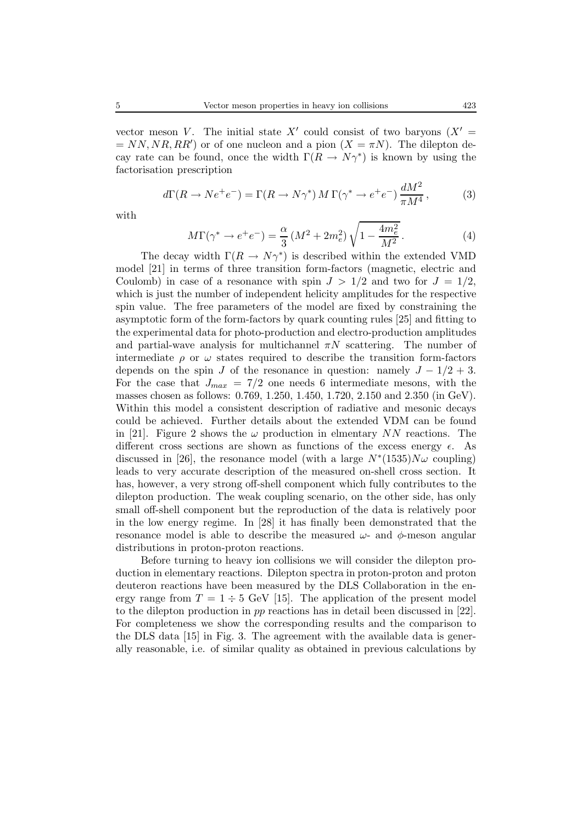vector meson V. The initial state X' could consist of two baryons  $(X' =$  $= NN, NR, RR'$  or of one nucleon and a pion  $(X = \pi N)$ . The dilepton decay rate can be found, once the width  $\Gamma(R \to N\gamma^*)$  is known by using the factorisation prescription

$$
d\Gamma(R \to Ne^+e^-) = \Gamma(R \to N\gamma^*) M \Gamma(\gamma^* \to e^+e^-) \frac{dM^2}{\pi M^4},\tag{3}
$$

with

$$
M\Gamma(\gamma^* \to e^+e^-) = \frac{\alpha}{3} \left(M^2 + 2m_e^2\right) \sqrt{1 - \frac{4m_e^2}{M^2}}.
$$
 (4)

The decay width  $\Gamma(R \to N\gamma^*)$  is described within the extended VMD model [21] in terms of three transition form-factors (magnetic, electric and Coulomb) in case of a resonance with spin  $J > 1/2$  and two for  $J = 1/2$ , which is just the number of independent helicity amplitudes for the respective spin value. The free parameters of the model are fixed by constraining the asymptotic form of the form-factors by quark counting rules [25] and fitting to the experimental data for photo-production and electro-production amplitudes and partial-wave analysis for multichannel  $\pi N$  scattering. The number of intermediate  $\rho$  or  $\omega$  states required to describe the transition form-factors depends on the spin J of the resonance in question: namely  $J - 1/2 + 3$ . For the case that  $J_{max} = 7/2$  one needs 6 intermediate mesons, with the masses chosen as follows: 0.769, 1.250, 1.450, 1.720, 2.150 and 2.350 (in GeV). Within this model a consistent description of radiative and mesonic decays could be achieved. Further details about the extended VDM can be found in [21]. Figure 2 shows the  $\omega$  production in elmentary NN reactions. The different cross sections are shown as functions of the excess energy  $\epsilon$ . As discussed in [26], the resonance model (with a large  $N^*(1535)N\omega$  coupling) leads to very accurate description of the measured on-shell cross section. It has, however, a very strong off-shell component which fully contributes to the dilepton production. The weak coupling scenario, on the other side, has only small off-shell component but the reproduction of the data is relatively poor in the low energy regime. In [28] it has finally been demonstrated that the resonance model is able to describe the measured  $\omega$ - and  $\phi$ -meson angular distributions in proton-proton reactions.

Before turning to heavy ion collisions we will consider the dilepton production in elementary reactions. Dilepton spectra in proton-proton and proton deuteron reactions have been measured by the DLS Collaboration in the energy range from  $T = 1 \div 5$  GeV [15]. The application of the present model to the dilepton production in pp reactions has in detail been discussed in [22]. For completeness we show the corresponding results and the comparison to the DLS data [15] in Fig. 3. The agreement with the available data is generally reasonable, i.e. of similar quality as obtained in previous calculations by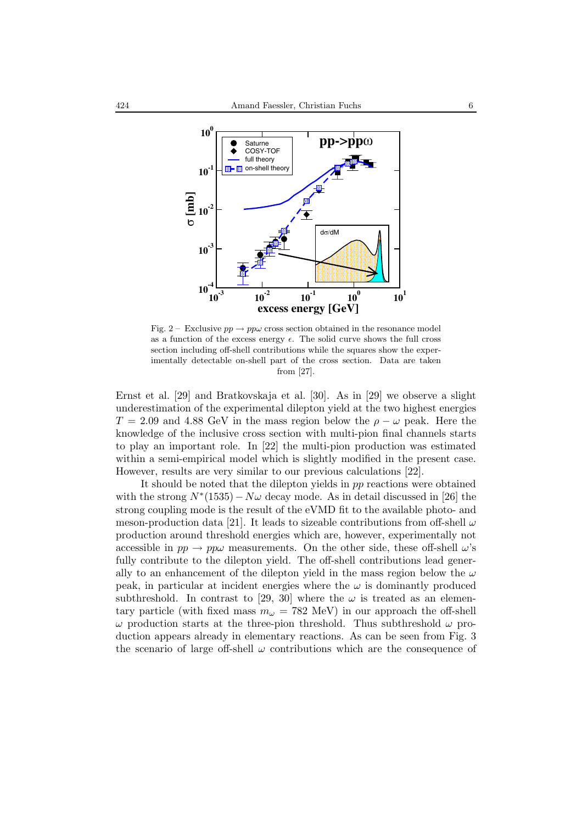

Fig. 2 – Exclusive  $pp \rightarrow pp\omega$  cross section obtained in the resonance model as a function of the excess energy  $\epsilon$ . The solid curve shows the full cross section including off-shell contributions while the squares show the experimentally detectable on-shell part of the cross section. Data are taken from [27].

Ernst et al. [29] and Bratkovskaja et al. [30]. As in [29] we observe a slight underestimation of the experimental dilepton yield at the two highest energies  $T = 2.09$  and 4.88 GeV in the mass region below the  $\rho - \omega$  peak. Here the knowledge of the inclusive cross section with multi-pion final channels starts to play an important role. In [22] the multi-pion production was estimated within a semi-empirical model which is slightly modified in the present case. However, results are very similar to our previous calculations [22].

It should be noted that the dilepton yields in pp reactions were obtained with the strong  $N^*(1535) - N\omega$  decay mode. As in detail discussed in [26] the strong coupling mode is the result of the eVMD fit to the available photo- and meson-production data [21]. It leads to sizeable contributions from off-shell  $\omega$ production around threshold energies which are, however, experimentally not accessible in  $pp \to pp\omega$  measurements. On the other side, these off-shell  $\omega$ 's fully contribute to the dilepton yield. The off-shell contributions lead generally to an enhancement of the dilepton yield in the mass region below the  $\omega$ peak, in particular at incident energies where the  $\omega$  is dominantly produced subthreshold. In contrast to [29, 30] where the  $\omega$  is treated as an elementary particle (with fixed mass  $m_{\omega} = 782$  MeV) in our approach the off-shell  $\omega$  production starts at the three-pion threshold. Thus subthreshold  $\omega$  production appears already in elementary reactions. As can be seen from Fig. 3 the scenario of large off-shell  $\omega$  contributions which are the consequence of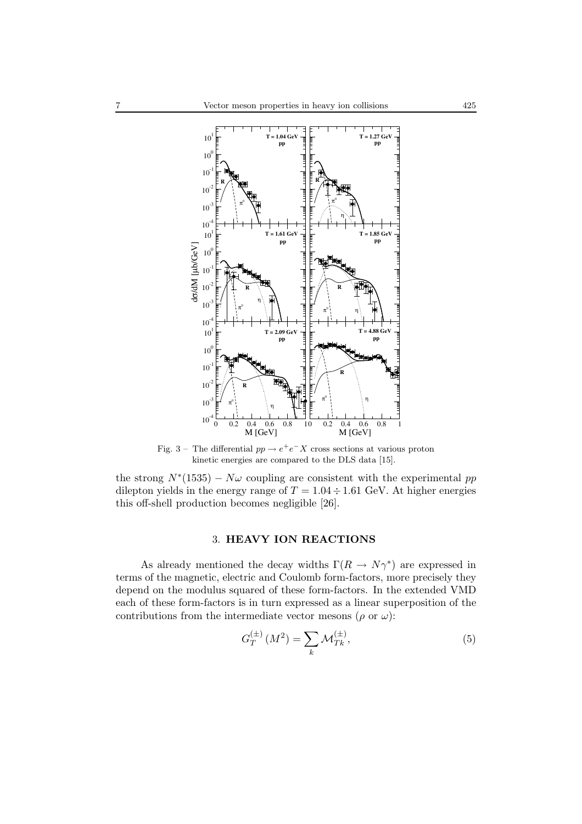

Fig. 3 – The differential  $pp \rightarrow e^+e^-X$  cross sections at various proton kinetic energies are compared to the DLS data [15].

the strong  $N^*(1535) - N\omega$  coupling are consistent with the experimental pp dilepton yields in the energy range of  $T = 1.04 \div 1.61$  GeV. At higher energies this off-shell production becomes negligible [26].

## 3. **HEAVY ION REACTIONS**

As already mentioned the decay widths  $\Gamma(R \to N\gamma^*)$  are expressed in terms of the magnetic, electric and Coulomb form-factors, more precisely they depend on the modulus squared of these form-factors. In the extended VMD each of these form-factors is in turn expressed as a linear superposition of the contributions from the intermediate vector mesons  $(\rho \text{ or } \omega)$ :

$$
G_T^{(\pm)}(M^2) = \sum_k \mathcal{M}_{Tk}^{(\pm)},\tag{5}
$$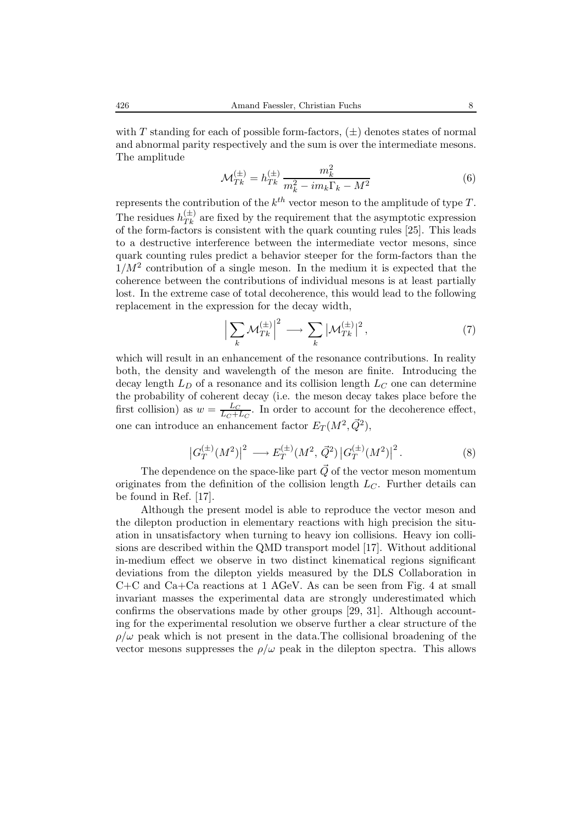$$
\mathcal{M}_{Tk}^{(\pm)} = h_{Tk}^{(\pm)} \frac{m_k^2}{m_k^2 - im_k \Gamma_k - M^2}
$$
 (6)

represents the contribution of the  $k^{th}$  vector meson to the amplitude of type T. The residues  $h_{Tk}^{(\pm)}$  are fixed by the requirement that the asymptotic expression of the form-factors is consistent with the quark counting rules [25]. This leads to a destructive interference between the intermediate vector mesons, since quark counting rules predict a behavior steeper for the form-factors than the  $1/M^2$  contribution of a single meson. In the medium it is expected that the coherence between the contributions of individual mesons is at least partially lost. In the extreme case of total decoherence, this would lead to the following replacement in the expression for the decay width,

$$
\left|\sum_{k} \mathcal{M}_{Tk}^{(\pm)}\right|^2 \longrightarrow \sum_{k} \left|\mathcal{M}_{Tk}^{(\pm)}\right|^2,\tag{7}
$$

which will result in an enhancement of the resonance contributions. In reality both, the density and wavelength of the meson are finite. Introducing the decay length  $L_D$  of a resonance and its collision length  $L_C$  one can determine the probability of coherent decay (i.e. the meson decay takes place before the first collision) as  $w = \frac{L_C}{L_C + L_C}$ . In order to account for the decoherence effect, one can introduce an enhancement factor  $E_T(M^2, \vec{Q}^2)$ ,

$$
\left| G_T^{(\pm)}(M^2) \right|^2 \longrightarrow E_T^{(\pm)}(M^2, \vec{Q}^2) \left| G_T^{(\pm)}(M^2) \right|^2. \tag{8}
$$

The dependence on the space-like part  $\vec{Q}$  of the vector meson momentum originates from the definition of the collision length  $L_C$ . Further details can be found in Ref. [17].

Although the present model is able to reproduce the vector meson and the dilepton production in elementary reactions with high precision the situation in unsatisfactory when turning to heavy ion collisions. Heavy ion collisions are described within the QMD transport model [17]. Without additional in-medium effect we observe in two distinct kinematical regions significant deviations from the dilepton yields measured by the DLS Collaboration in C+C and Ca+Ca reactions at 1 AGeV. As can be seen from Fig. 4 at small invariant masses the experimental data are strongly underestimated which confirms the observations made by other groups [29, 31]. Although accounting for the experimental resolution we observe further a clear structure of the  $\rho/\omega$  peak which is not present in the data. The collisional broadening of the vector mesons suppresses the  $\rho/\omega$  peak in the dilepton spectra. This allows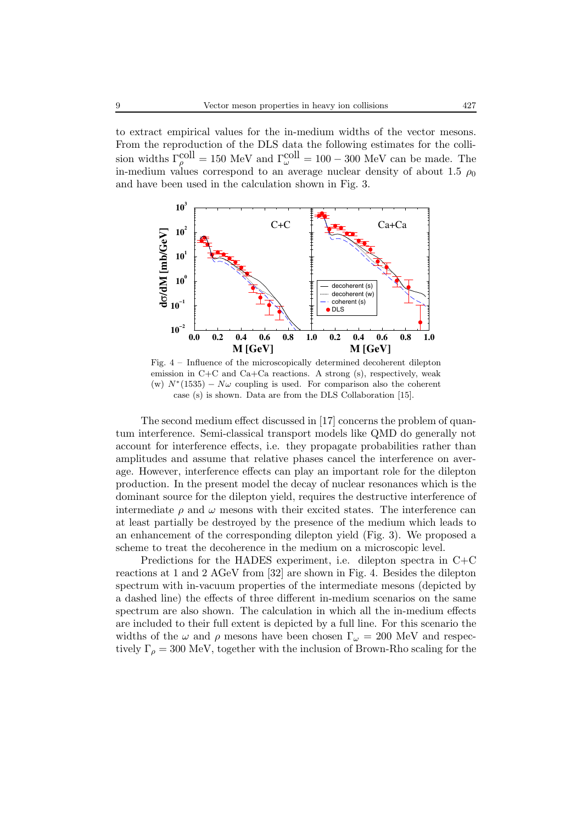to extract empirical values for the in-medium widths of the vector mesons. From the reproduction of the DLS data the following estimates for the collision widths  $\Gamma_{\rho}^{\text{coll}} = 150 \text{ MeV}$  and  $\Gamma_{\omega}^{\text{coll}} = 100 - 300 \text{ MeV}$  can be made. The in-medium values correspond to an average nuclear density of about 1.5  $\rho_0$ and have been used in the calculation shown in Fig. 3.



Fig. 4 – Influence of the microscopically determined decoherent dilepton emission in C+C and Ca+Ca reactions. A strong (s), respectively, weak (w)  $N^*(1535) - N\omega$  coupling is used. For comparison also the coherent case (s) is shown. Data are from the DLS Collaboration [15].

The second medium effect discussed in [17] concerns the problem of quantum interference. Semi-classical transport models like QMD do generally not account for interference effects, i.e. they propagate probabilities rather than amplitudes and assume that relative phases cancel the interference on average. However, interference effects can play an important role for the dilepton production. In the present model the decay of nuclear resonances which is the dominant source for the dilepton yield, requires the destructive interference of intermediate  $\rho$  and  $\omega$  mesons with their excited states. The interference can at least partially be destroyed by the presence of the medium which leads to an enhancement of the corresponding dilepton yield (Fig. 3). We proposed a scheme to treat the decoherence in the medium on a microscopic level.

Predictions for the HADES experiment, i.e. dilepton spectra in C+C reactions at 1 and 2 AGeV from [32] are shown in Fig. 4. Besides the dilepton spectrum with in-vacuum properties of the intermediate mesons (depicted by a dashed line) the effects of three different in-medium scenarios on the same spectrum are also shown. The calculation in which all the in-medium effects are included to their full extent is depicted by a full line. For this scenario the widths of the  $\omega$  and  $\rho$  mesons have been chosen  $\Gamma_{\omega} = 200$  MeV and respectively  $\Gamma_{\rho} = 300$  MeV, together with the inclusion of Brown-Rho scaling for the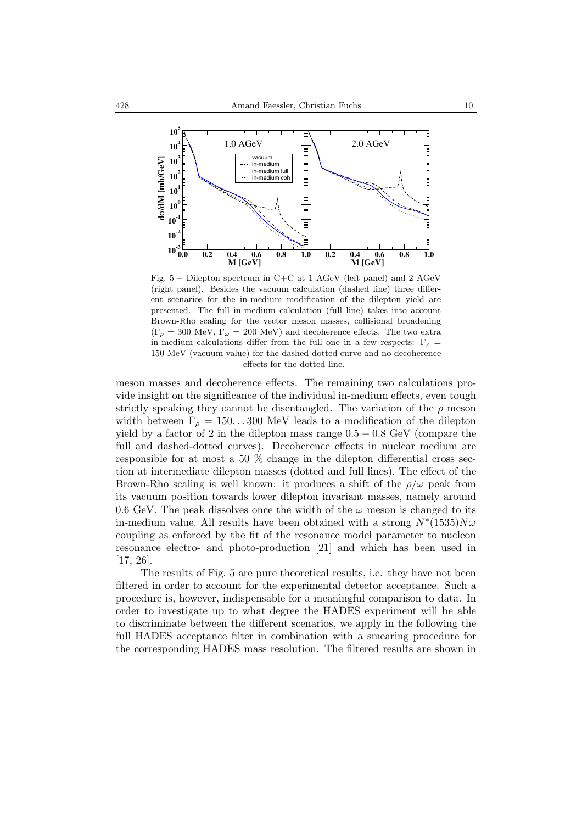

Fig. 5 – Dilepton spectrum in C+C at 1 AGeV (left panel) and 2 AGeV (right panel). Besides the vacuum calculation (dashed line) three different scenarios for the in-medium modification of the dilepton yield are presented. The full in-medium calculation (full line) takes into account Brown-Rho scaling for the vector meson masses, collisional broadening  $(\Gamma_{\rho} = 300 \text{ MeV}, \Gamma_{\omega} = 200 \text{ MeV})$  and decoherence effects. The two extra in-medium calculations differ from the full one in a few respects:  $\Gamma_{\rho}$  = 150 MeV (vacuum value) for the dashed-dotted curve and no decoherence effects for the dotted line.

meson masses and decoherence effects. The remaining two calculations provide insight on the significance of the individual in-medium effects, even tough strictly speaking they cannot be disentangled. The variation of the  $\rho$  meson width between  $\Gamma_{\rho} = 150...300$  MeV leads to a modification of the dilepton yield by a factor of 2 in the dilepton mass range  $0.5 - 0.8$  GeV (compare the full and dashed-dotted curves). Decoherence effects in nuclear medium are responsible for at most a 50 % change in the dilepton differential cross section at intermediate dilepton masses (dotted and full lines). The effect of the Brown-Rho scaling is well known: it produces a shift of the  $\rho/\omega$  peak from its vacuum position towards lower dilepton invariant masses, namely around 0.6 GeV. The peak dissolves once the width of the  $\omega$  meson is changed to its in-medium value. All results have been obtained with a strong  $N^*(1535)N\omega$ coupling as enforced by the fit of the resonance model parameter to nucleon resonance electro- and photo-production [21] and which has been used in [17, 26].

The results of Fig. 5 are pure theoretical results, i.e. they have not been filtered in order to account for the experimental detector acceptance. Such a procedure is, however, indispensable for a meaningful comparison to data. In order to investigate up to what degree the HADES experiment will be able to discriminate between the different scenarios, we apply in the following the full HADES acceptance filter in combination with a smearing procedure for the corresponding HADES mass resolution. The filtered results are shown in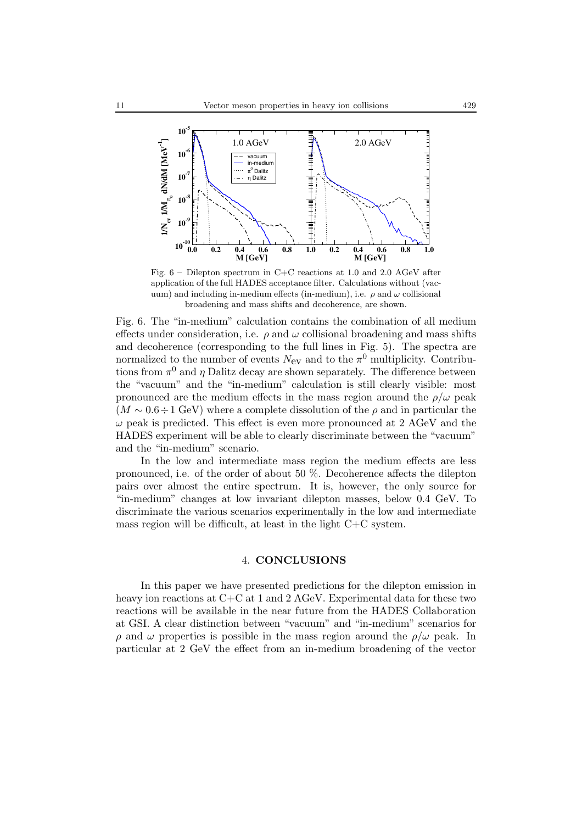

Fig. 6 – Dilepton spectrum in C+C reactions at 1.0 and 2.0 AGeV after application of the full HADES acceptance filter. Calculations without (vacuum) and including in-medium effects (in-medium), i.e.  $\rho$  and  $\omega$  collisional broadening and mass shifts and decoherence, are shown.

Fig. 6. The "in-medium" calculation contains the combination of all medium effects under consideration, i.e.  $\rho$  and  $\omega$  collisional broadening and mass shifts and decoherence (corresponding to the full lines in Fig. 5). The spectra are normalized to the number of events  $N_{ev}$  and to the  $\pi^0$  multiplicity. Contributions from  $\pi^0$  and  $\eta$  Dalitz decay are shown separately. The difference between the "vacuum" and the "in-medium" calculation is still clearly visible: most pronounced are the medium effects in the mass region around the  $\rho/\omega$  peak  $(M \sim 0.6 \div 1$  GeV) where a complete dissolution of the  $\rho$  and in particular the  $\omega$  peak is predicted. This effect is even more pronounced at 2 AGeV and the HADES experiment will be able to clearly discriminate between the "vacuum" and the "in-medium" scenario.

In the low and intermediate mass region the medium effects are less pronounced, i.e. of the order of about 50 %. Decoherence affects the dilepton pairs over almost the entire spectrum. It is, however, the only source for "in-medium" changes at low invariant dilepton masses, below 0.4 GeV. To discriminate the various scenarios experimentally in the low and intermediate mass region will be difficult, at least in the light C+C system.

#### 4. **CONCLUSIONS**

In this paper we have presented predictions for the dilepton emission in heavy ion reactions at  $C+C$  at 1 and 2 AGeV. Experimental data for these two reactions will be available in the near future from the HADES Collaboration at GSI. A clear distinction between "vacuum" and "in-medium" scenarios for  $ρ$  and  $ω$  properties is possible in the mass region around the  $ρ/ω$  peak. In particular at 2 GeV the effect from an in-medium broadening of the vector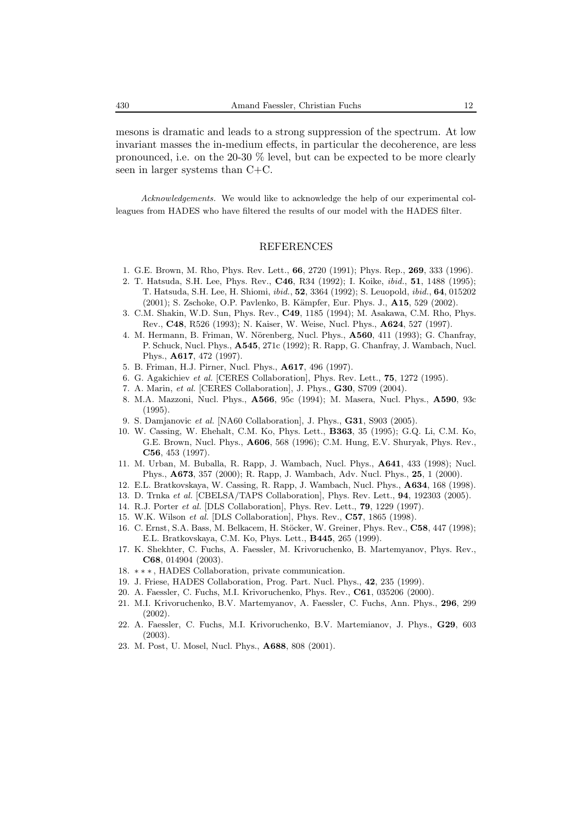mesons is dramatic and leads to a strong suppression of the spectrum. At low invariant masses the in-medium effects, in particular the decoherence, are less pronounced, i.e. on the 20-30 % level, but can be expected to be more clearly seen in larger systems than C+C.

*Acknowledgements.* We would like to acknowledge the help of our experimental colleagues from HADES who have filtered the results of our model with the HADES filter.

### REFERENCES

- 1. G.E. Brown, M. Rho, Phys. Rev. Lett., **66**, 2720 (1991); Phys. Rep., **269**, 333 (1996).
- 2. T. Hatsuda, S.H. Lee, Phys. Rev., **C46**, R34 (1992); I. Koike, *ibid.*, **51**, 1488 (1995); T. Hatsuda, S.H. Lee, H. Shiomi, *ibid.*, **52**, 3364 (1992); S. Leuopold, *ibid.*, **64**, 015202 (2001); S. Zschoke, O.P. Pavlenko, B. K¨ampfer, Eur. Phys. J., **A15**, 529 (2002).
- 3. C.M. Shakin, W.D. Sun, Phys. Rev., **C49**, 1185 (1994); M. Asakawa, C.M. Rho, Phys. Rev., **C48**, R526 (1993); N. Kaiser, W. Weise, Nucl. Phys., **A624**, 527 (1997).
- 4. M. Hermann, B. Friman, W. Nörenberg, Nucl. Phys., **A560**, 411 (1993); G. Chanfray, P. Schuck, Nucl. Phys., **A545**, 271c (1992); R. Rapp, G. Chanfray, J. Wambach, Nucl. Phys., **A617**, 472 (1997).
- 5. B. Friman, H.J. Pirner, Nucl. Phys., **A617**, 496 (1997).
- 6. G. Agakichiev *et al.* [CERES Collaboration], Phys. Rev. Lett., **75**, 1272 (1995).
- 7. A. Marin, *et al.* [CERES Collaboration], J. Phys., **G30**, S709 (2004).
- 8. M.A. Mazzoni, Nucl. Phys., **A566**, 95c (1994); M. Masera, Nucl. Phys., **A590**, 93c (1995).
- 9. S. Damjanovic *et al.* [NA60 Collaboration], J. Phys., **G31**, S903 (2005).
- 10. W. Cassing, W. Ehehalt, C.M. Ko, Phys. Lett., **B363**, 35 (1995); G.Q. Li, C.M. Ko, G.E. Brown, Nucl. Phys., **A606**, 568 (1996); C.M. Hung, E.V. Shuryak, Phys. Rev., **C56**, 453 (1997).
- 11. M. Urban, M. Buballa, R. Rapp, J. Wambach, Nucl. Phys., **A641**, 433 (1998); Nucl. Phys., **A673**, 357 (2000); R. Rapp, J. Wambach, Adv. Nucl. Phys., **25**, 1 (2000).
- 12. E.L. Bratkovskaya, W. Cassing, R. Rapp, J. Wambach, Nucl. Phys., **A634**, 168 (1998).
- 13. D. Trnka *et al.* [CBELSA/TAPS Collaboration], Phys. Rev. Lett., **94**, 192303 (2005).
- 14. R.J. Porter *et al.* [DLS Collaboration], Phys. Rev. Lett., **79**, 1229 (1997).
- 15. W.K. Wilson *et al.* [DLS Collaboration], Phys. Rev., **C57**, 1865 (1998).
- 16. C. Ernst, S.A. Bass, M. Belkacem, H. Stöcker, W. Greiner, Phys. Rev., C58, 447 (1998); E.L. Bratkovskaya, C.M. Ko, Phys. Lett., **B445**, 265 (1999).
- 17. K. Shekhter, C. Fuchs, A. Faessler, M. Krivoruchenko, B. Martemyanov, Phys. Rev., **C68**, 014904 (2003).
- 18. ∗∗∗ , HADES Collaboration, private communication.
- 19. J. Friese, HADES Collaboration, Prog. Part. Nucl. Phys., **42**, 235 (1999).
- 20. A. Faessler, C. Fuchs, M.I. Krivoruchenko, Phys. Rev., **C61**, 035206 (2000).
- 21. M.I. Krivoruchenko, B.V. Martemyanov, A. Faessler, C. Fuchs, Ann. Phys., **296**, 299 (2002).
- 22. A. Faessler, C. Fuchs, M.I. Krivoruchenko, B.V. Martemianov, J. Phys., **G29**, 603 (2003).
- 23. M. Post, U. Mosel, Nucl. Phys., **A688**, 808 (2001).